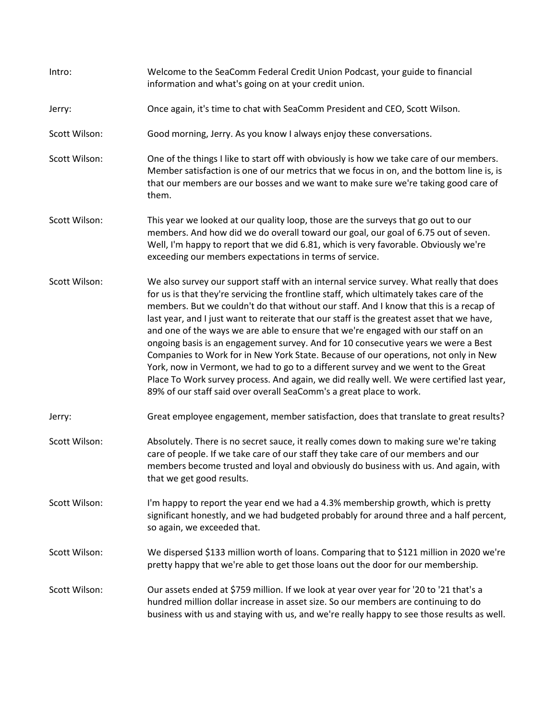| Intro:        | Welcome to the SeaComm Federal Credit Union Podcast, your guide to financial<br>information and what's going on at your credit union.                                                                                                                                                                                                                                                                                                                                                                                                                                                                                                                                                                                                                                                                                                                                                                  |
|---------------|--------------------------------------------------------------------------------------------------------------------------------------------------------------------------------------------------------------------------------------------------------------------------------------------------------------------------------------------------------------------------------------------------------------------------------------------------------------------------------------------------------------------------------------------------------------------------------------------------------------------------------------------------------------------------------------------------------------------------------------------------------------------------------------------------------------------------------------------------------------------------------------------------------|
| Jerry:        | Once again, it's time to chat with SeaComm President and CEO, Scott Wilson.                                                                                                                                                                                                                                                                                                                                                                                                                                                                                                                                                                                                                                                                                                                                                                                                                            |
| Scott Wilson: | Good morning, Jerry. As you know I always enjoy these conversations.                                                                                                                                                                                                                                                                                                                                                                                                                                                                                                                                                                                                                                                                                                                                                                                                                                   |
| Scott Wilson: | One of the things I like to start off with obviously is how we take care of our members.<br>Member satisfaction is one of our metrics that we focus in on, and the bottom line is, is<br>that our members are our bosses and we want to make sure we're taking good care of<br>them.                                                                                                                                                                                                                                                                                                                                                                                                                                                                                                                                                                                                                   |
| Scott Wilson: | This year we looked at our quality loop, those are the surveys that go out to our<br>members. And how did we do overall toward our goal, our goal of 6.75 out of seven.<br>Well, I'm happy to report that we did 6.81, which is very favorable. Obviously we're<br>exceeding our members expectations in terms of service.                                                                                                                                                                                                                                                                                                                                                                                                                                                                                                                                                                             |
| Scott Wilson: | We also survey our support staff with an internal service survey. What really that does<br>for us is that they're servicing the frontline staff, which ultimately takes care of the<br>members. But we couldn't do that without our staff. And I know that this is a recap of<br>last year, and I just want to reiterate that our staff is the greatest asset that we have,<br>and one of the ways we are able to ensure that we're engaged with our staff on an<br>ongoing basis is an engagement survey. And for 10 consecutive years we were a Best<br>Companies to Work for in New York State. Because of our operations, not only in New<br>York, now in Vermont, we had to go to a different survey and we went to the Great<br>Place To Work survey process. And again, we did really well. We were certified last year,<br>89% of our staff said over overall SeaComm's a great place to work. |
| Jerry:        | Great employee engagement, member satisfaction, does that translate to great results?                                                                                                                                                                                                                                                                                                                                                                                                                                                                                                                                                                                                                                                                                                                                                                                                                  |
| Scott Wilson: | Absolutely. There is no secret sauce, it really comes down to making sure we're taking<br>care of people. If we take care of our staff they take care of our members and our<br>members become trusted and loyal and obviously do business with us. And again, with<br>that we get good results.                                                                                                                                                                                                                                                                                                                                                                                                                                                                                                                                                                                                       |
| Scott Wilson: | I'm happy to report the year end we had a 4.3% membership growth, which is pretty<br>significant honestly, and we had budgeted probably for around three and a half percent,<br>so again, we exceeded that.                                                                                                                                                                                                                                                                                                                                                                                                                                                                                                                                                                                                                                                                                            |
| Scott Wilson: | We dispersed \$133 million worth of loans. Comparing that to \$121 million in 2020 we're<br>pretty happy that we're able to get those loans out the door for our membership.                                                                                                                                                                                                                                                                                                                                                                                                                                                                                                                                                                                                                                                                                                                           |
| Scott Wilson: | Our assets ended at \$759 million. If we look at year over year for '20 to '21 that's a<br>hundred million dollar increase in asset size. So our members are continuing to do<br>business with us and staying with us, and we're really happy to see those results as well.                                                                                                                                                                                                                                                                                                                                                                                                                                                                                                                                                                                                                            |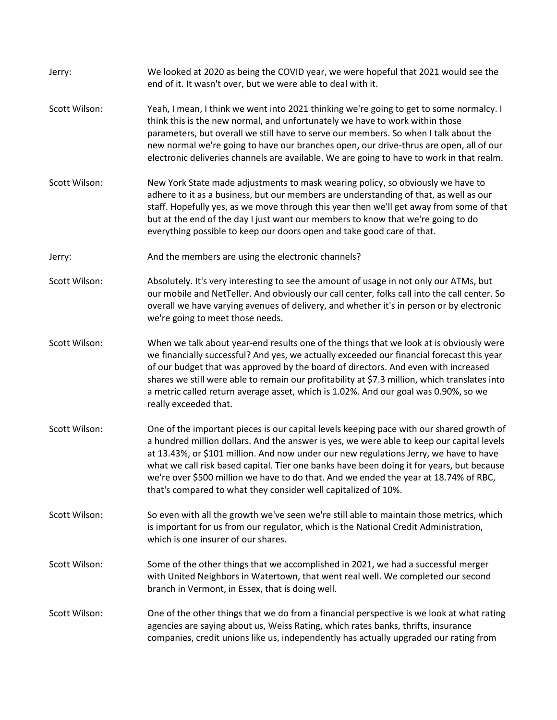| Jerry:        | We looked at 2020 as being the COVID year, we were hopeful that 2021 would see the<br>end of it. It wasn't over, but we were able to deal with it.                                                                                                                                                                                                                                                                                                                                                                                    |
|---------------|---------------------------------------------------------------------------------------------------------------------------------------------------------------------------------------------------------------------------------------------------------------------------------------------------------------------------------------------------------------------------------------------------------------------------------------------------------------------------------------------------------------------------------------|
| Scott Wilson: | Yeah, I mean, I think we went into 2021 thinking we're going to get to some normalcy. I<br>think this is the new normal, and unfortunately we have to work within those<br>parameters, but overall we still have to serve our members. So when I talk about the<br>new normal we're going to have our branches open, our drive-thrus are open, all of our<br>electronic deliveries channels are available. We are going to have to work in that realm.                                                                                |
| Scott Wilson: | New York State made adjustments to mask wearing policy, so obviously we have to<br>adhere to it as a business, but our members are understanding of that, as well as our<br>staff. Hopefully yes, as we move through this year then we'll get away from some of that<br>but at the end of the day I just want our members to know that we're going to do<br>everything possible to keep our doors open and take good care of that.                                                                                                    |
| Jerry:        | And the members are using the electronic channels?                                                                                                                                                                                                                                                                                                                                                                                                                                                                                    |
| Scott Wilson: | Absolutely. It's very interesting to see the amount of usage in not only our ATMs, but<br>our mobile and NetTeller. And obviously our call center, folks call into the call center. So<br>overall we have varying avenues of delivery, and whether it's in person or by electronic<br>we're going to meet those needs.                                                                                                                                                                                                                |
| Scott Wilson: | When we talk about year-end results one of the things that we look at is obviously were<br>we financially successful? And yes, we actually exceeded our financial forecast this year<br>of our budget that was approved by the board of directors. And even with increased<br>shares we still were able to remain our profitability at \$7.3 million, which translates into<br>a metric called return average asset, which is 1.02%. And our goal was 0.90%, so we<br>really exceeded that.                                           |
| Scott Wilson: | One of the important pieces is our capital levels keeping pace with our shared growth of<br>a hundred million dollars. And the answer is yes, we were able to keep our capital levels<br>at 13.43%, or \$101 million. And now under our new regulations Jerry, we have to have<br>what we call risk based capital. Tier one banks have been doing it for years, but because<br>we're over \$500 million we have to do that. And we ended the year at 18.74% of RBC,<br>that's compared to what they consider well capitalized of 10%. |
| Scott Wilson: | So even with all the growth we've seen we're still able to maintain those metrics, which<br>is important for us from our regulator, which is the National Credit Administration,<br>which is one insurer of our shares.                                                                                                                                                                                                                                                                                                               |
| Scott Wilson: | Some of the other things that we accomplished in 2021, we had a successful merger<br>with United Neighbors in Watertown, that went real well. We completed our second<br>branch in Vermont, in Essex, that is doing well.                                                                                                                                                                                                                                                                                                             |
| Scott Wilson: | One of the other things that we do from a financial perspective is we look at what rating<br>agencies are saying about us, Weiss Rating, which rates banks, thrifts, insurance<br>companies, credit unions like us, independently has actually upgraded our rating from                                                                                                                                                                                                                                                               |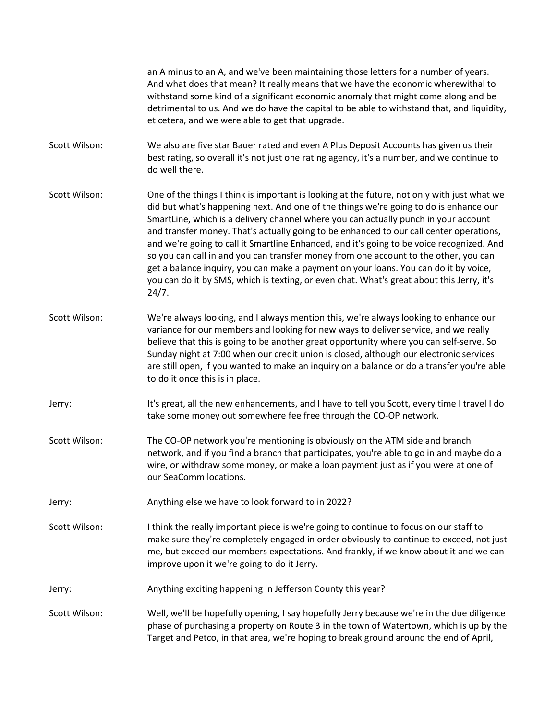an A minus to an A, and we've been maintaining those letters for a number of years. And what does that mean? It really means that we have the economic wherewithal to withstand some kind of a significant economic anomaly that might come along and be detrimental to us. And we do have the capital to be able to withstand that, and liquidity, et cetera, and we were able to get that upgrade. Scott Wilson: We also are five star Bauer rated and even A Plus Deposit Accounts has given us their best rating, so overall it's not just one rating agency, it's a number, and we continue to do well there. Scott Wilson: One of the things I think is important is looking at the future, not only with just what we did but what's happening next. And one of the things we're going to do is enhance our SmartLine, which is a delivery channel where you can actually punch in your account and transfer money. That's actually going to be enhanced to our call center operations, and we're going to call it Smartline Enhanced, and it's going to be voice recognized. And so you can call in and you can transfer money from one account to the other, you can get a balance inquiry, you can make a payment on your loans. You can do it by voice, you can do it by SMS, which is texting, or even chat. What's great about this Jerry, it's 24/7. Scott Wilson: We're always looking, and I always mention this, we're always looking to enhance our variance for our members and looking for new ways to deliver service, and we really believe that this is going to be another great opportunity where you can self-serve. So Sunday night at 7:00 when our credit union is closed, although our electronic services are still open, if you wanted to make an inquiry on a balance or do a transfer you're able to do it once this is in place. Jerry: It's great, all the new enhancements, and I have to tell you Scott, every time I travel I do take some money out somewhere fee free through the CO-OP network. Scott Wilson: The CO-OP network you're mentioning is obviously on the ATM side and branch network, and if you find a branch that participates, you're able to go in and maybe do a wire, or withdraw some money, or make a loan payment just as if you were at one of our SeaComm locations. Jerry: Anything else we have to look forward to in 2022? Scott Wilson: I think the really important piece is we're going to continue to focus on our staff to make sure they're completely engaged in order obviously to continue to exceed, not just me, but exceed our members expectations. And frankly, if we know about it and we can improve upon it we're going to do it Jerry. Jerry: Anything exciting happening in Jefferson County this year? Scott Wilson: Well, we'll be hopefully opening, I say hopefully Jerry because we're in the due diligence phase of purchasing a property on Route 3 in the town of Watertown, which is up by the Target and Petco, in that area, we're hoping to break ground around the end of April,